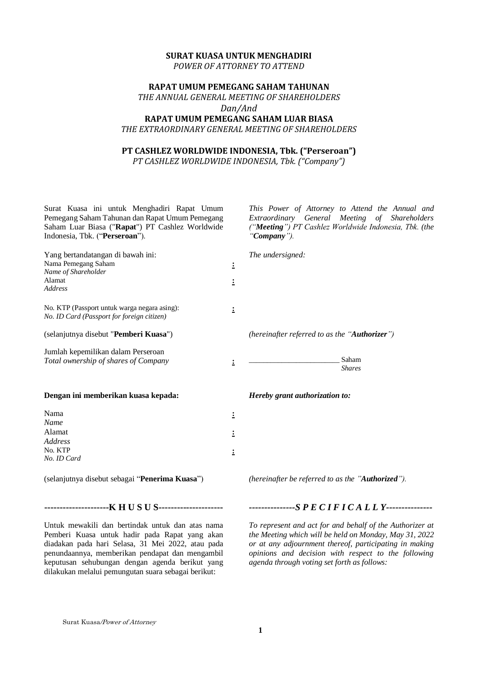#### **SURAT KUASA UNTUK MENGHADIRI**

*POWER OF ATTORNEY TO ATTEND*

# **RAPAT UMUM PEMEGANG SAHAM TAHUNAN**

*THE ANNUAL GENERAL MEETING OF SHAREHOLDERS Dan/And*

# **RAPAT UMUM PEMEGANG SAHAM LUAR BIASA**

*THE EXTRAORDINARY GENERAL MEETING OF SHAREHOLDERS* 

## **PT CASHLEZ WORLDWIDE INDONESIA, Tbk. ("Perseroan")**

*PT CASHLEZ WORLDWIDE INDONESIA, Tbk. ("Company")*

| Surat Kuasa ini untuk Menghadiri Rapat Umum<br>Pemegang Saham Tahunan dan Rapat Umum Pemegang<br>Saham Luar Biasa ("Rapat") PT Cashlez Worldwide<br>Indonesia, Tbk. ("Perseroan"). |                | This Power of Attorney to Attend the Annual and<br>Extraordinary General Meeting of Shareholders<br>("Meeting") PT Cashlez Worldwide Indonesia, Tbk. (the<br>"Company"). |
|------------------------------------------------------------------------------------------------------------------------------------------------------------------------------------|----------------|--------------------------------------------------------------------------------------------------------------------------------------------------------------------------|
| Yang bertandatangan di bawah ini:<br>Nama Pemegang Saham<br>Name of Shareholder<br>Alamat<br><b>Address</b>                                                                        | ÷<br>Ξ         | The undersigned:                                                                                                                                                         |
| No. KTP (Passport untuk warga negara asing):<br>No. ID Card (Passport for foreign citizen)                                                                                         | $\ddot{\cdot}$ |                                                                                                                                                                          |
| (selanjutnya disebut "Pemberi Kuasa")                                                                                                                                              |                | (hereinafter referred to as the "Authorizer")                                                                                                                            |
| Jumlah kepemilikan dalam Perseroan<br>Total ownership of shares of Company                                                                                                         | ÷              | Saham<br><b>Shares</b>                                                                                                                                                   |
| Dengan ini memberikan kuasa kepada:                                                                                                                                                |                | Hereby grant authorization to:                                                                                                                                           |
| Nama<br><b>Name</b>                                                                                                                                                                | $\ddot{.}$     |                                                                                                                                                                          |
| Alamat                                                                                                                                                                             | 1              |                                                                                                                                                                          |
| <b>Address</b><br>No. KTP<br>No. ID Card                                                                                                                                           | $\ddot{\cdot}$ |                                                                                                                                                                          |
| (selanjutnya disebut sebagai "Penerima Kuasa")                                                                                                                                     |                | (hereinafter be referred to as the "Authorized").                                                                                                                        |

Untuk mewakili dan bertindak untuk dan atas nama Pemberi Kuasa untuk hadir pada Rapat yang akan diadakan pada hari Selasa, 31 Mei 2022, atau pada penundaannya, memberikan pendapat dan mengambil keputusan sehubungan dengan agenda berikut yang dilakukan melalui pemungutan suara sebagai berikut:

## **---------------------K H U S U S---------------------** *---------------S P E C I F I C A L L Y---------------*

*To represent and act for and behalf of the Authorizer at the Meeting which will be held on Monday, May 31, 2022 or at any adjournment thereof, participating in making opinions and decision with respect to the following agenda through voting set forth as follows:*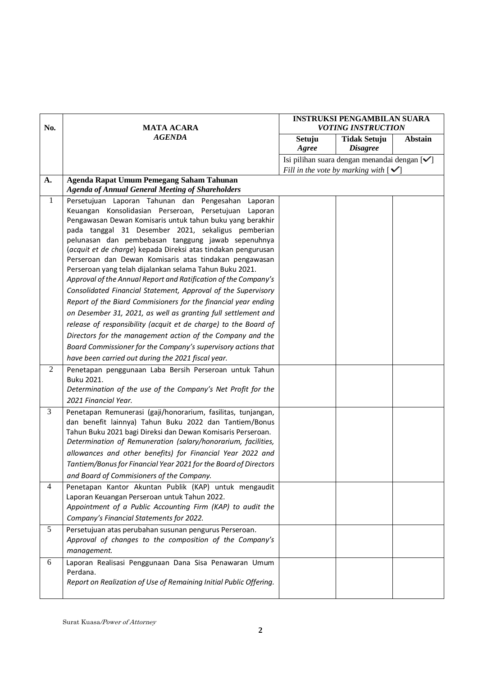|                          |                                                                                                                            | <b>INSTRUKSI PENGAMBILAN SUARA</b> |                                                           |                |  |
|--------------------------|----------------------------------------------------------------------------------------------------------------------------|------------------------------------|-----------------------------------------------------------|----------------|--|
| No.<br><b>MATA ACARA</b> |                                                                                                                            |                                    | <b>VOTING INSTRUCTION</b>                                 |                |  |
|                          | <b>AGENDA</b>                                                                                                              | Setuju                             | <b>Tidak Setuju</b>                                       | <b>Abstain</b> |  |
|                          |                                                                                                                            | Agree                              | <b>Disagree</b>                                           |                |  |
|                          |                                                                                                                            |                                    | Isi pilihan suara dengan menandai dengan [ <del>√</del> ] |                |  |
|                          |                                                                                                                            |                                    | Fill in the vote by marking with $[\checkmark]$           |                |  |
| A.                       | Agenda Rapat Umum Pemegang Saham Tahunan                                                                                   |                                    |                                                           |                |  |
|                          | <b>Agenda of Annual General Meeting of Shareholders</b>                                                                    |                                    |                                                           |                |  |
| $\mathbf{1}$             | Persetujuan Laporan Tahunan dan Pengesahan<br>Laporan                                                                      |                                    |                                                           |                |  |
|                          | Keuangan Konsolidasian Perseroan, Persetujuan<br>Laporan                                                                   |                                    |                                                           |                |  |
|                          | Pengawasan Dewan Komisaris untuk tahun buku yang berakhir                                                                  |                                    |                                                           |                |  |
|                          | pada tanggal 31 Desember 2021, sekaligus pemberian                                                                         |                                    |                                                           |                |  |
|                          | pelunasan dan pembebasan tanggung jawab sepenuhnya                                                                         |                                    |                                                           |                |  |
|                          | (acquit et de charge) kepada Direksi atas tindakan pengurusan                                                              |                                    |                                                           |                |  |
|                          | Perseroan dan Dewan Komisaris atas tindakan pengawasan                                                                     |                                    |                                                           |                |  |
|                          | Perseroan yang telah dijalankan selama Tahun Buku 2021.<br>Approval of the Annual Report and Ratification of the Company's |                                    |                                                           |                |  |
|                          |                                                                                                                            |                                    |                                                           |                |  |
|                          | Consolidated Financial Statement, Approval of the Supervisory                                                              |                                    |                                                           |                |  |
|                          | Report of the Biard Commisioners for the financial year ending                                                             |                                    |                                                           |                |  |
|                          | on Desember 31, 2021, as well as granting full settlement and                                                              |                                    |                                                           |                |  |
|                          | release of responsibility (acquit et de charge) to the Board of                                                            |                                    |                                                           |                |  |
|                          | Directors for the management action of the Company and the                                                                 |                                    |                                                           |                |  |
|                          | Board Commissioner for the Company's supervisory actions that                                                              |                                    |                                                           |                |  |
|                          | have been carried out during the 2021 fiscal year.                                                                         |                                    |                                                           |                |  |
| 2                        | Penetapan penggunaan Laba Bersih Perseroan untuk Tahun                                                                     |                                    |                                                           |                |  |
|                          | Buku 2021.                                                                                                                 |                                    |                                                           |                |  |
|                          | Determination of the use of the Company's Net Profit for the                                                               |                                    |                                                           |                |  |
|                          | 2021 Financial Year.                                                                                                       |                                    |                                                           |                |  |
| 3                        | Penetapan Remunerasi (gaji/honorarium, fasilitas, tunjangan,                                                               |                                    |                                                           |                |  |
|                          | dan benefit lainnya) Tahun Buku 2022 dan Tantiem/Bonus                                                                     |                                    |                                                           |                |  |
|                          | Tahun Buku 2021 bagi Direksi dan Dewan Komisaris Perseroan.                                                                |                                    |                                                           |                |  |
|                          | Determination of Remuneration (salary/honorarium, facilities,                                                              |                                    |                                                           |                |  |
|                          | allowances and other benefits) for Financial Year 2022 and                                                                 |                                    |                                                           |                |  |
|                          | Tantiem/Bonus for Financial Year 2021 for the Board of Directors                                                           |                                    |                                                           |                |  |
|                          | and Board of Commisioners of the Company.                                                                                  |                                    |                                                           |                |  |
| 4                        | Penetapan Kantor Akuntan Publik (KAP) untuk mengaudit                                                                      |                                    |                                                           |                |  |
|                          | Laporan Keuangan Perseroan untuk Tahun 2022.                                                                               |                                    |                                                           |                |  |
|                          | Appointment of a Public Accounting Firm (KAP) to audit the                                                                 |                                    |                                                           |                |  |
|                          | Company's Financial Statements for 2022.                                                                                   |                                    |                                                           |                |  |
| 5                        | Persetujuan atas perubahan susunan pengurus Perseroan.                                                                     |                                    |                                                           |                |  |
|                          | Approval of changes to the composition of the Company's                                                                    |                                    |                                                           |                |  |
|                          | management.                                                                                                                |                                    |                                                           |                |  |
| 6                        | Laporan Realisasi Penggunaan Dana Sisa Penawaran Umum                                                                      |                                    |                                                           |                |  |
|                          | Perdana.                                                                                                                   |                                    |                                                           |                |  |
|                          | Report on Realization of Use of Remaining Initial Public Offering.                                                         |                                    |                                                           |                |  |
|                          |                                                                                                                            |                                    |                                                           |                |  |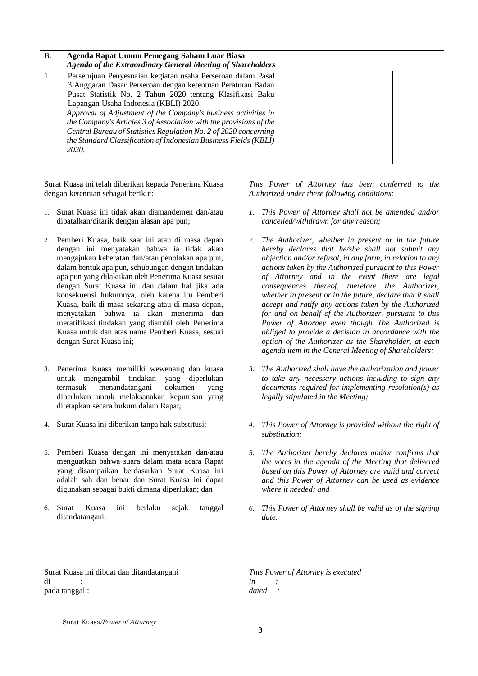| <b>B.</b> | Agenda Rapat Umum Pemegang Saham Luar Biasa<br>Agenda of the Extraordinary General Meeting of Shareholders                                                                                                                                                                                                                                                                                                                                                                                                                 |  |  |
|-----------|----------------------------------------------------------------------------------------------------------------------------------------------------------------------------------------------------------------------------------------------------------------------------------------------------------------------------------------------------------------------------------------------------------------------------------------------------------------------------------------------------------------------------|--|--|
|           | Persetujuan Penyesuaian kegiatan usaha Perseroan dalam Pasal<br>3 Anggaran Dasar Perseroan dengan ketentuan Peraturan Badan<br>Pusat Statistik No. 2 Tahun 2020 tentang Klasifikasi Baku<br>Lapangan Usaha Indonesia (KBLI) 2020.<br>Approval of Adjustment of the Company's business activities in<br>the Company's Articles 3 of Association with the provisions of the<br>Central Bureau of Statistics Regulation No. 2 of 2020 concerning<br>the Standard Classification of Indonesian Business Fields (KBLI)<br>2020. |  |  |

Surat Kuasa ini telah diberikan kepada Penerima Kuasa dengan ketentuan sebagai berikut:

- 1. Surat Kuasa ini tidak akan diamandemen dan/atau dibatalkan/ditarik dengan alasan apa pun;
- 2. Pemberi Kuasa, baik saat ini atau di masa depan dengan ini menyatakan bahwa ia tidak akan mengajukan keberatan dan/atau penolakan apa pun, dalam bentuk apa pun, sehubungan dengan tindakan apa pun yang dilakukan oleh Penerima Kuasa sesuai dengan Surat Kuasa ini dan dalam hal jika ada konsekuensi hukumnya, oleh karena itu Pemberi Kuasa, baik di masa sekarang atau di masa depan, menyatakan bahwa ia akan menerima dan meratifikasi tindakan yang diambil oleh Penerima Kuasa untuk dan atas nama Pemberi Kuasa, sesuai dengan Surat Kuasa ini;
- 3. Penerima Kuasa memiliki wewenang dan kuasa untuk mengambil tindakan yang diperlukan termasuk menandatangani dokumen yang diperlukan untuk melaksanakan keputusan yang ditetapkan secara hukum dalam Rapat;
- 4. Surat Kuasa ini diberikan tanpa hak substitusi;
- 5. Pemberi Kuasa dengan ini menyatakan dan/atau menguatkan bahwa suara dalam mata acara Rapat yang disampaikan berdasarkan Surat Kuasa ini adalah sah dan benar dan Surat Kuasa ini dapat digunakan sebagai bukti dimana diperlukan; dan
- 6. Surat Kuasa ini berlaku sejak tanggal ditandatangani.

*This Power of Attorney has been conferred to the Authorized under these following conditions:*

- *1. This Power of Attorney shall not be amended and/or cancelled/withdrawn for any reason;*
- *2. The Authorizer, whether in present or in the future hereby declares that he/she shall not submit any objection and/or refusal, in any form, in relation to any actions taken by the Authorized pursuant to this Power of Attorney and in the event there are legal consequences thereof, therefore the Authorizer, whether in present or in the future, declare that it shall accept and ratify any actions taken by the Authorized for and on behalf of the Authorizer, pursuant to this Power of Attorney even though The Authorized is obliged to provide a decision in accordance with the option of the Authorizer as the Shareholder, at each agenda item in the General Meeting of Shareholders;*
- *3. The Authorized shall have the authorization and power to take any necessary actions including to sign any documents required for implementing resolution(s) as legally stipulated in the Meeting;*
- *4. This Power of Attorney is provided without the right of substitution;*
- *5. The Authorizer hereby declares and/or confirms that the votes in the agenda of the Meeting that delivered based on this Power of Attorney are valid and correct and this Power of Attorney can be used as evidence where it needed; and*
- *6. This Power of Attorney shall be valid as of the signing date.*

| Surat Kuasa ini dibuat dan ditandatangani | This Power of Attorney is executed |
|-------------------------------------------|------------------------------------|
|                                           |                                    |
| pada tanggal :                            | dated                              |
|                                           |                                    |

Surat Kuasa/Power of Attorney